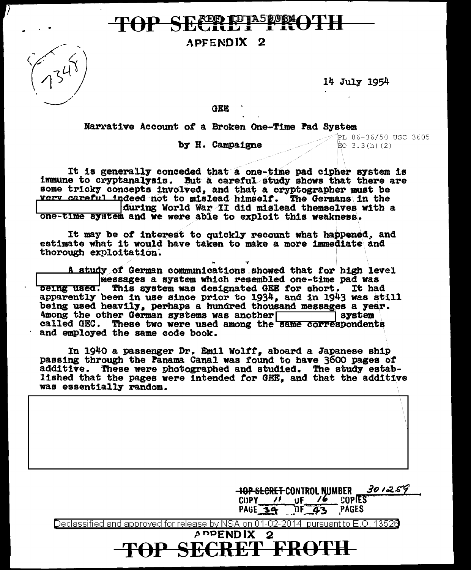# **FRIDIASPORAOTH**

APFENDIX<sub>2</sub>



14 July 1954

GEE

Narrative Account of a Broken One-Time Pad System

by H. Campaigne

PL 86-36/50 USC 3605  $EO$  3.3(h)(2)

It is generally conceded that a one-time pad cipher system is immune to cryptanalysis. But a careful study shows that there are some tricky concepts involved, and that a cryptographer must be very careful indeed not to mislead himself. The Germans in the during World War II did mislead themselves with a one-time system and we were able to exploit this weakness.

It may be of interest to quickly recount what happened, and estimate what it would have taken to make a more immediate and thorough exploitation.

A study of German communications showed that for high level messages a system which resembled one-time pad was being used. This system was designated GEE for short. It had apparently been in use since prior to 1934, and in 1943 was still being used heavily, perhaps a hundred thousand messages a year.  $]$  system Among the other German systems was another system system called GEC. These two were used among the same correspondents and employed the same code book.

In 1940 a passenger Dr. Emil Wolff, aboard a Japanese ship passing through the Panama Canal was found to have 3600 pages of additive. These were photographed and studied. The study established that the pages were intended for GEE, and that the additive was essentially random.

> $301259$ **-IOP SECRET CONTROL NUMBER**  $C \cup PY$  // **COPIES**  $U$ F / $\bullet$

 $\sqrt{0572}$ PAGE 34 PAGES

CRET FROTH

Declassified and approved for release by NSA on 01-02-2014 pursuant to E.O. 13526

**ADPENDIX**  $\mathbf{2}$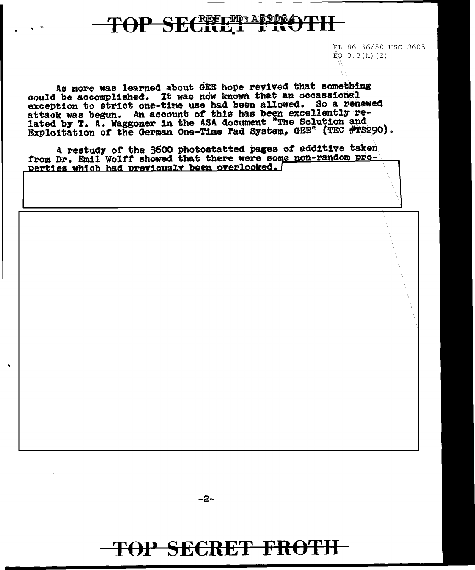## **TOP SECRET I ROTH**

PL 86-36/50 USC 3605  $\angle$ EO 3.3(h)(2)

As more was learned about GEE hope revived that something could be accomplished. It was now known that an occassional exception to strict one-time use had been allowed. So a renewed attack was begun. An account of this has been excellently related by T. A. Waggoner in the ASA document "The Solution and Exploitation of the German One-Time Pad System, GEE" (TEC #TS290).

A restudy of the 3600 photostatted pages of additive taken from Dr. Emil Wolff showed that there were some non-random pro-Derties which had previously been overlooked.

 $-2-$ 

### TOP SECRET FROTH